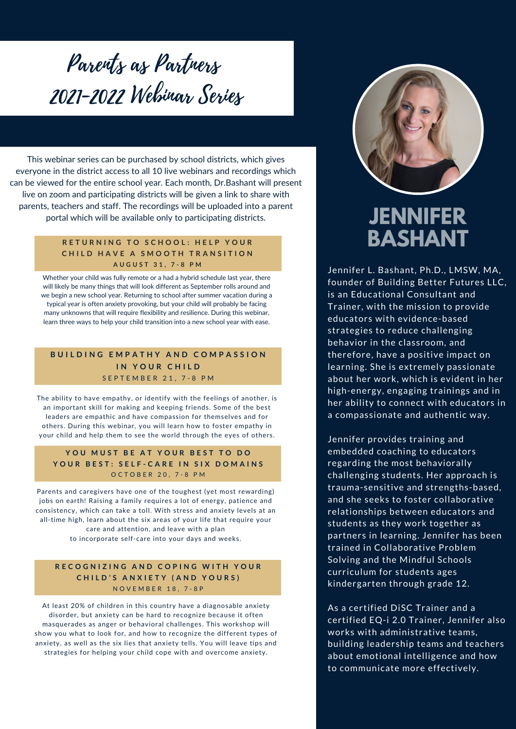# Parents as Partners 2021-2022 Webinar Series

This webinar series can be purchased by school districts, which gives everyone in the district access to all 10 live webinars and recordings which can be viewed for the entire school year. Each month, Dr.Bashant will present live on zoom and participating districts will be given a link to share with parents, teachers and staff. The recordings will be uploaded into a parent portal which will be available only to participating districts.

#### RETURNING TO SCHOOL: HELP YOUR CHILD HAVE A SMOOTH TRANSITION **A U G U S T 3 1 , 7 - 8 P M**

Whether your child was fully remote or a had a hybrid schedule last year, there will likely be many things that will look different as September rolls around and we begin a new school year. Returning to school after summer vacation during a typical year is often anxiety provoking, but your child will probably be facing many unknowns that will require flexibility and resilience. During this webinar, learn three ways to help your child transition into a new school year with ease.

#### **BUILDING EMPATHY AND COMPASSION I N Y O U R C H I L D** S E P T E M B E R 2 1 , 7 - 8 P M

The ability to have empathy, or identify with the feelings of another, is an important skill for making and keeping friends. Some of the best leaders are empathic and have compassion for themselves and for others. During this webinar, you will learn how to foster empathy in your child and help them to see the world through the eyes of others.

#### **Y O U M U S T B E A T Y O U R B E S T T O D O** YOUR BEST: SELF-CARE IN SIX DOMAINS O C T O B E R 20, 7 - 8 P M

Parents and caregivers have one of the toughest (yet most rewarding) jobs on earth! Raising a family requires a lot of energy, patience and consistency, which can take a toll. With stress and anxiety levels at an all-time high, learn about the six areas of your life that require your care and attention, and leave with a plan to incorporate self-care into your days and weeks.

#### RECOGNIZING AND COPING WITH YOUR **C H I L D ' S A N X I E T Y ( A N D Y O U R S )** N O V E M B E R 1 8 , 7 - 8 P

At least 20% of children in this country have a diagnosable anxiety disorder, but anxiety can be hard to recognize because it often masquerades as anger or behavioral challenges. This workshop will show you what to look for, and how to recognize the different types of anxiety, as well as the six lies that anxiety tells. You will leave tips and strategies for helping your child cope with and overcome anxiety.



# **JENNIFER BASHANT**

Jennifer L. Bashant, Ph.D., LMSW, MA, founder of Building Better Futures LLC, is an Educational Consultant and Trainer, with the mission to provide educators with evidence-based strategies to reduce challenging behavior in the classroom, and therefore, have a positive impact on learning. She is extremely passionate about her work, which is evident in her high-energy, engaging trainings and in her ability to connect with educators in a compassionate and authentic way.

Jennifer provides training and embedded coaching to educators regarding the most behaviorally challenging students. Her approach is trauma-sensitive and strengths-based, and she seeks to foster collaborative relationships between educators and students as they work together as partners in learning. Jennifer has been trained in Collaborative Problem Solving and the Mindful Schools curriculum for students ages kindergarten through grade 12.

As a certified DiSC Trainer and a certified EQ-i 2.0 Trainer, Jennifer also works with administrative teams, building leadership teams and teachers about emotional intelligence and how to communicate more effectively.